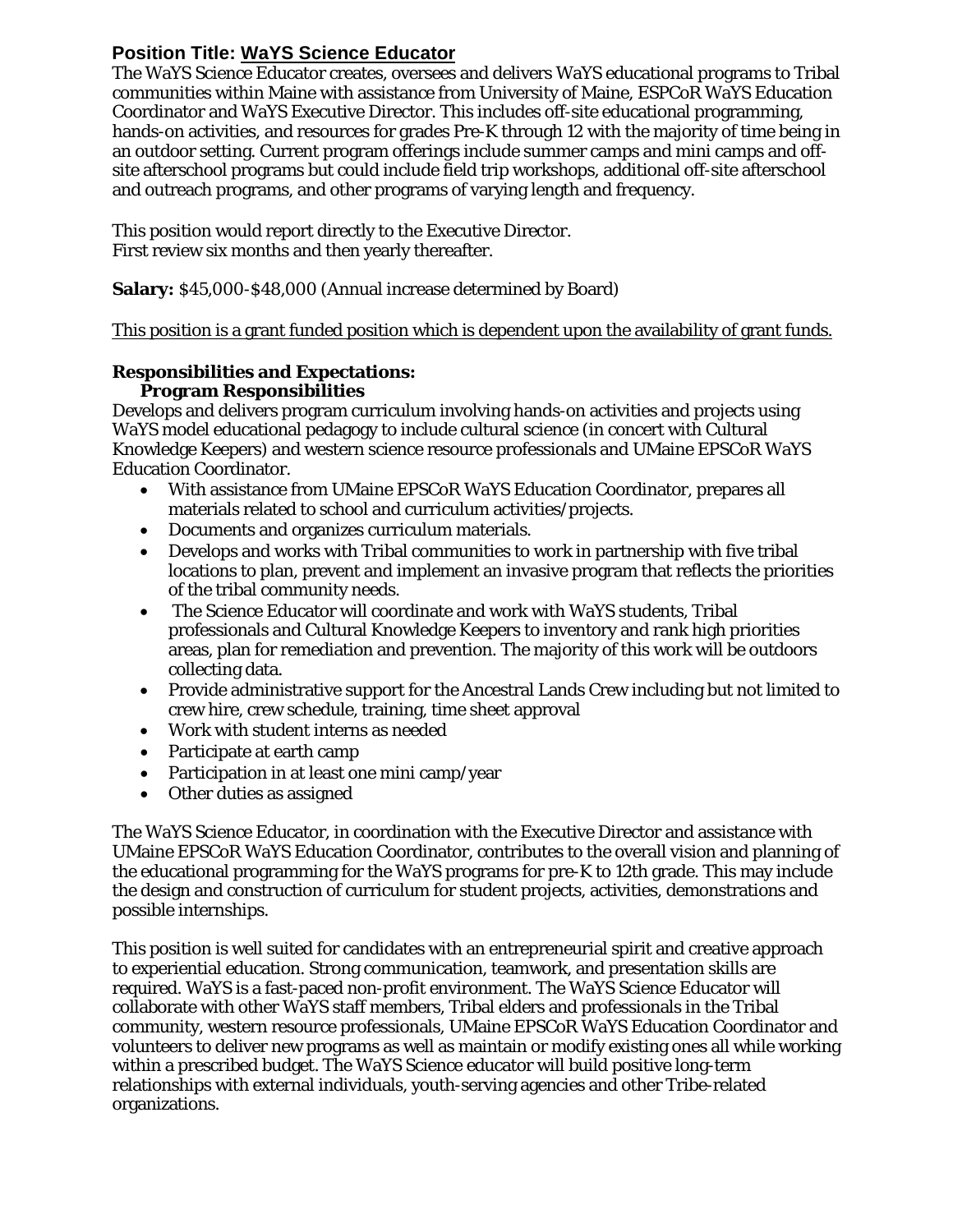# **Position Title: WaYS Science Educator**

The WaYS Science Educator creates, oversees and delivers WaYS educational programs to Tribal communities within Maine with assistance from University of Maine, ESPCoR WaYS Education Coordinator and WaYS Executive Director. This includes off-site educational programming, hands-on activities, and resources for grades Pre-K through 12 with the majority of time being in an outdoor setting. Current program offerings include summer camps and mini camps and offsite afterschool programs but could include field trip workshops, additional off-site afterschool and outreach programs, and other programs of varying length and frequency.

This position would report directly to the Executive Director. First review six months and then yearly thereafter.

**Salary:** \$45,000-\$48,000 (Annual increase determined by Board)

This position is a grant funded position which is dependent upon the availability of grant funds.

## **Responsibilities and Expectations: Program Responsibilities**

Develops and delivers program curriculum involving hands-on activities and projects using WaYS model educational pedagogy to include cultural science (in concert with Cultural Knowledge Keepers) and western science resource professionals and UMaine EPSCoR WaYS Education Coordinator.

- With assistance from UMaine EPSCoR WaYS Education Coordinator, prepares all materials related to school and curriculum activities/projects.
- Documents and organizes curriculum materials.
- Develops and works with Tribal communities to work in partnership with five tribal locations to plan, prevent and implement an invasive program that reflects the priorities of the tribal community needs.
- The Science Educator will coordinate and work with WaYS students, Tribal professionals and Cultural Knowledge Keepers to inventory and rank high priorities areas, plan for remediation and prevention. The majority of this work will be outdoors collecting data.
- Provide administrative support for the Ancestral Lands Crew including but not limited to crew hire, crew schedule, training, time sheet approval
- Work with student interns as needed
- Participate at earth camp
- Participation in at least one mini camp/year
- Other duties as assigned

The WaYS Science Educator, in coordination with the Executive Director and assistance with UMaine EPSCoR WaYS Education Coordinator, contributes to the overall vision and planning of the educational programming for the WaYS programs for pre-K to 12th grade. This may include the design and construction of curriculum for student projects, activities, demonstrations and possible internships.

This position is well suited for candidates with an entrepreneurial spirit and creative approach to experiential education. Strong communication, teamwork, and presentation skills are required. WaYS is a fast-paced non-profit environment. The WaYS Science Educator will collaborate with other WaYS staff members, Tribal elders and professionals in the Tribal community, western resource professionals, UMaine EPSCoR WaYS Education Coordinator and volunteers to deliver new programs as well as maintain or modify existing ones all while working within a prescribed budget. The WaYS Science educator will build positive long-term relationships with external individuals, youth-serving agencies and other Tribe-related organizations.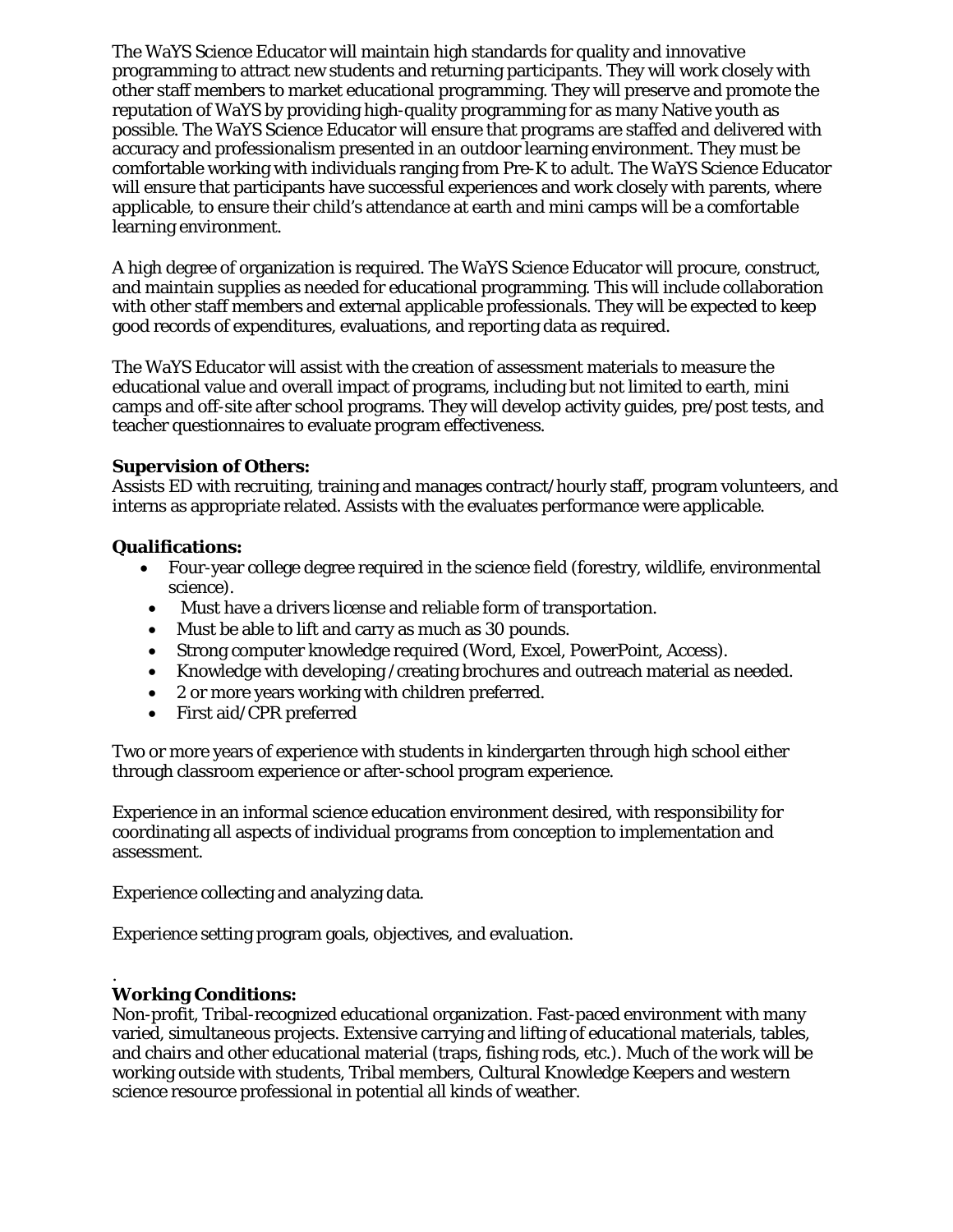The WaYS Science Educator will maintain high standards for quality and innovative programming to attract new students and returning participants. They will work closely with other staff members to market educational programming. They will preserve and promote the reputation of WaYS by providing high-quality programming for as many Native youth as possible. The WaYS Science Educator will ensure that programs are staffed and delivered with accuracy and professionalism presented in an outdoor learning environment. They must be comfortable working with individuals ranging from Pre-K to adult. The WaYS Science Educator will ensure that participants have successful experiences and work closely with parents, where applicable, to ensure their child's attendance at earth and mini camps will be a comfortable learning environment.

A high degree of organization is required. The WaYS Science Educator will procure, construct, and maintain supplies as needed for educational programming. This will include collaboration with other staff members and external applicable professionals. They will be expected to keep good records of expenditures, evaluations, and reporting data as required.

The WaYS Educator will assist with the creation of assessment materials to measure the educational value and overall impact of programs, including but not limited to earth, mini camps and off-site after school programs. They will develop activity guides, pre/post tests, and teacher questionnaires to evaluate program effectiveness.

# **Supervision of Others:**

Assists ED with recruiting, training and manages contract/hourly staff, program volunteers, and interns as appropriate related. Assists with the evaluates performance were applicable.

# **Qualifications:**

- Four-year college degree required in the science field (forestry, wildlife, environmental science).
- Must have a drivers license and reliable form of transportation.
- Must be able to lift and carry as much as 30 pounds.
- Strong computer knowledge required (Word, Excel, PowerPoint, Access).
- Knowledge with developing /creating brochures and outreach material as needed.
- 2 or more years working with children preferred.
- First aid/CPR preferred

Two or more years of experience with students in kindergarten through high school either through classroom experience or after-school program experience.

Experience in an informal science education environment desired, with responsibility for coordinating all aspects of individual programs from conception to implementation and assessment.

Experience collecting and analyzing data.

Experience setting program goals, objectives, and evaluation.

#### . **Working Conditions:**

Non-profit, Tribal-recognized educational organization. Fast-paced environment with many varied, simultaneous projects. Extensive carrying and lifting of educational materials, tables, and chairs and other educational material (traps, fishing rods, etc.). Much of the work will be working outside with students, Tribal members, Cultural Knowledge Keepers and western science resource professional in potential all kinds of weather.